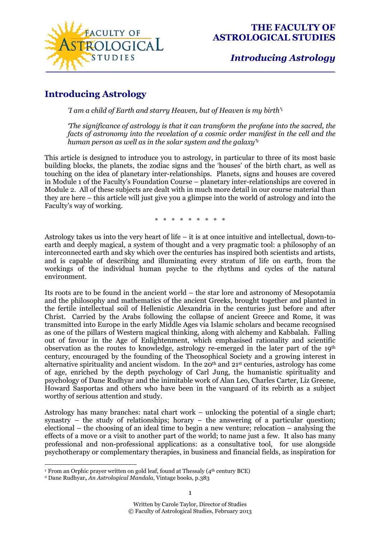

## *Introducing Astrology*

# **Introducing Astrology**

*'I am a child of Earth and starry Heaven, but of Heaven is my birth'*<sup>1</sup>

*'The significance of astrology is that it can transform the profane into the sacred, the facts of astronomy into the revelation of a cosmic order manifest in the cell and the human person as well as in the solar system and the galaxy'*<sup>2</sup>

This article is designed to introduce you to astrology, in particular to three of its most basic building blocks, the planets, the zodiac signs and the 'houses' of the birth chart, as well as touching on the idea of planetary inter-relationships. Planets, signs and houses are covered in Module 1 of the Faculty's Foundation Course – planetary inter-relationships are covered in Module 2. All of these subjects are dealt with in much more detail in our course material than they are here – this article will just give you a glimpse into the world of astrology and into the Faculty's way of working.

\* \* \* \* \* \* \* \* \*

Astrology takes us into the very heart of life – it is at once intuitive and intellectual, down-toearth and deeply magical, a system of thought and a very pragmatic tool: a philosophy of an interconnected earth and sky which over the centuries has inspired both scientists and artists, and is capable of describing and illuminating every stratum of life on earth, from the workings of the individual human psyche to the rhythms and cycles of the natural environment.

Its roots are to be found in the ancient world – the star lore and astronomy of Mesopotamia and the philosophy and mathematics of the ancient Greeks, brought together and planted in the fertile intellectual soil of Hellenistic Alexandria in the centuries just before and after Christ. Carried by the Arabs following the collapse of ancient Greece and Rome, it was transmitted into Europe in the early Middle Ages via Islamic scholars and became recognised as one of the pillars of Western magical thinking, along with alchemy and Kabbalah. Falling out of favour in the Age of Enlightenment, which emphasised rationality and scientific observation as the routes to knowledge, astrology re-emerged in the later part of the 19th century, encouraged by the founding of the Theosophical Society and a growing interest in alternative spirituality and ancient wisdom. In the  $20<sup>th</sup>$  and  $21<sup>st</sup>$  centuries, astrology has come of age, enriched by the depth psychology of Carl Jung, the humanistic spirituality and psychology of Dane Rudhyar and the inimitable work of Alan Leo, Charles Carter, Liz Greene, Howard Sasportas and others who have been in the vanguard of its rebirth as a subject worthy of serious attention and study.

Astrology has many branches: natal chart work – unlocking the potential of a single chart; synastry – the study of relationships; horary – the answering of a particular question; electional – the choosing of an ideal time to begin a new venture; relocation – analysing the effects of a move or a visit to another part of the world; to name just a few. It also has many professional and non-professional applications: as a consultative tool, for use alongside psychotherapy or complementary therapies, in business and financial fields, as inspiration for

1

<sup>1</sup>  $1$  From an Orphic prayer written on gold leaf, found at Thessaly (4<sup>th</sup> century BCE)

<sup>2</sup> Dane Rudhyar**,** *An Astrological Mandala,* Vintage books, p.383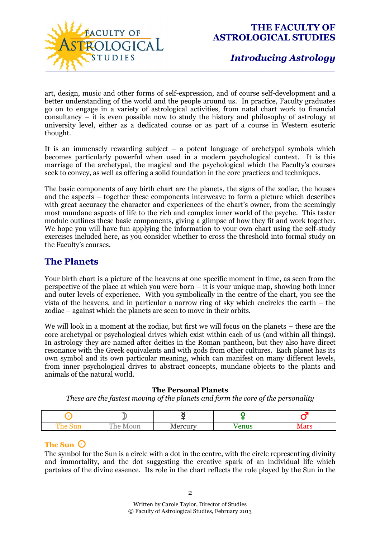

art, design, music and other forms of self-expression, and of course self-development and a better understanding of the world and the people around us. In practice, Faculty graduates go on to engage in a variety of astrological activities, from natal chart work to financial consultancy  $-\tilde{i}$  it is even possible now to study the history and philosophy of astrology at university level, either as a dedicated course or as part of a course in Western esoteric thought.

It is an immensely rewarding subject – a potent language of archetypal symbols which becomes particularly powerful when used in a modern psychological context. It is this marriage of the archetypal, the magical and the psychological which the Faculty's courses seek to convey, as well as offering a solid foundation in the core practices and techniques.

The basic components of any birth chart are the planets, the signs of the zodiac, the houses and the aspects – together these components interweave to form a picture which describes with great accuracy the character and experiences of the chart's owner, from the seemingly most mundane aspects of life to the rich and complex inner world of the psyche. This taster module outlines these basic components, giving a glimpse of how they fit and work together. We hope you will have fun applying the information to your own chart using the self-study exercises included here, as you consider whether to cross the threshold into formal study on the Faculty's courses.

### **The Planets**

Your birth chart is a picture of the heavens at one specific moment in time, as seen from the perspective of the place at which you were born – it is your unique map, showing both inner and outer levels of experience. With you symbolically in the centre of the chart, you see the vista of the heavens, and in particular a narrow ring of sky which encircles the earth – the zodiac – against which the planets are seen to move in their orbits.

We will look in a moment at the zodiac, but first we will focus on the planets – these are the core archetypal or psychological drives which exist within each of us (and within all things). In astrology they are named after deities in the Roman pantheon, but they also have direct resonance with the Greek equivalents and with gods from other cultures. Each planet has its own symbol and its own particular meaning, which can manifest on many different levels, from inner psychological drives to abstract concepts, mundane objects to the plants and animals of the natural world.

### **The Personal Planets**

*These are the fastest moving of the planets and form the core of the personality* 

| The<br>oun | The <sub>1</sub><br>Moon | Mercury | enus | $\Lambda$ or $\alpha$ |
|------------|--------------------------|---------|------|-----------------------|

### **The Sun**  $\odot$

The symbol for the Sun is a circle with a dot in the centre, with the circle representing divinity and immortality, and the dot suggesting the creative spark of an individual life which partakes of the divine essence. Its role in the chart reflects the role played by the Sun in the

2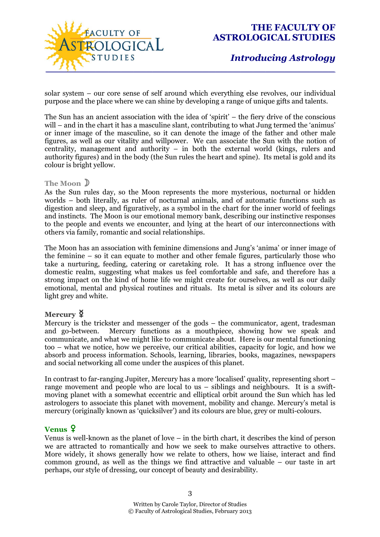

# *Introducing Astrology*

solar system – our core sense of self around which everything else revolves, our individual purpose and the place where we can shine by developing a range of unique gifts and talents.

The Sun has an ancient association with the idea of 'spirit' – the fiery drive of the conscious will – and in the chart it has a masculine slant, contributing to what Jung termed the 'animus' or inner image of the masculine, so it can denote the image of the father and other male figures, as well as our vitality and willpower. We can associate the Sun with the notion of centrality, management and authority – in both the external world (kings, rulers and authority figures) and in the body (the Sun rules the heart and spine). Its metal is gold and its colour is bright yellow.

#### **The Moon**

As the Sun rules day, so the Moon represents the more mysterious, nocturnal or hidden worlds – both literally, as ruler of nocturnal animals, and of automatic functions such as digestion and sleep, and figuratively, as a symbol in the chart for the inner world of feelings and instincts. The Moon is our emotional memory bank, describing our instinctive responses to the people and events we encounter, and lying at the heart of our interconnections with others via family, romantic and social relationships.

The Moon has an association with feminine dimensions and Jung's 'anima' or inner image of the feminine – so it can equate to mother and other female figures, particularly those who take a nurturing, feeding, catering or caretaking role. It has a strong influence over the domestic realm, suggesting what makes us feel comfortable and safe, and therefore has a strong impact on the kind of home life we might create for ourselves, as well as our daily emotional, mental and physical routines and rituals. Its metal is silver and its colours are light grey and white.

### **Mercury**  $\frac{8}{7}$

Mercury is the trickster and messenger of the gods – the communicator, agent, tradesman and go-between. Mercury functions as a mouthpiece, showing how we speak and communicate, and what we might like to communicate about. Here is our mental functioning too – what we notice, how we perceive, our critical abilities, capacity for logic, and how we absorb and process information. Schools, learning, libraries, books, magazines, newspapers and social networking all come under the auspices of this planet.

In contrast to far-ranging Jupiter, Mercury has a more 'localised' quality, representing short – range movement and people who are local to us – siblings and neighbours. It is a swiftmoving planet with a somewhat eccentric and elliptical orbit around the Sun which has led astrologers to associate this planet with movement, mobility and change. Mercury's metal is mercury (originally known as 'quicksilver') and its colours are blue, grey or multi-colours.

### **Venus** g

Venus is well-known as the planet of love – in the birth chart, it describes the kind of person we are attracted to romantically and how we seek to make ourselves attractive to others. More widely, it shows generally how we relate to others, how we liaise, interact and find common ground, as well as the things we find attractive and valuable – our taste in art perhaps, our style of dressing, our concept of beauty and desirability.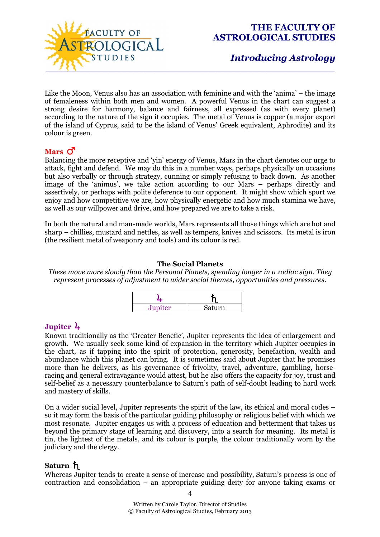

## *Introducing Astrology*

Like the Moon, Venus also has an association with feminine and with the 'anima' – the image of femaleness within both men and women. A powerful Venus in the chart can suggest a strong desire for harmony, balance and fairness, all expressed (as with every planet) according to the nature of the sign it occupies. The metal of Venus is copper (a major export of the island of Cyprus, said to be the island of Venus' Greek equivalent, Aphrodite) and its colour is green.

### $Mars$   $\vec{O}$

Balancing the more receptive and 'yin' energy of Venus, Mars in the chart denotes our urge to attack, fight and defend. We may do this in a number ways, perhaps physically on occasions but also verbally or through strategy, cunning or simply refusing to back down. As another image of the 'animus', we take action according to our Mars – perhaps directly and assertively, or perhaps with polite deference to our opponent. It might show which sport we enjoy and how competitive we are, how physically energetic and how much stamina we have, as well as our willpower and drive, and how prepared we are to take a risk.

In both the natural and man-made worlds, Mars represents all those things which are hot and sharp – chillies, mustard and nettles, as well as tempers, knives and scissors. Its metal is iron (the resilient metal of weaponry and tools) and its colour is red.

### **The Social Planets**

*These move more slowly than the Personal Planets, spending longer in a zodiac sign. They represent processes of adjustment to wider social themes, opportunities and pressures.* 

| Jupiter | Saturn |  |
|---------|--------|--|

### **Jupiter** 4

Known traditionally as the 'Greater Benefic', Jupiter represents the idea of enlargement and growth. We usually seek some kind of expansion in the territory which Jupiter occupies in the chart, as if tapping into the spirit of protection, generosity, benefaction, wealth and abundance which this planet can bring. It is sometimes said about Jupiter that he promises more than he delivers, as his governance of frivolity, travel, adventure, gambling, horseracing and general extravagance would attest, but he also offers the capacity for joy, trust and self-belief as a necessary counterbalance to Saturn's path of self-doubt leading to hard work and mastery of skills.

On a wider social level, Jupiter represents the spirit of the law, its ethical and moral codes – so it may form the basis of the particular guiding philosophy or religious belief with which we most resonate. Jupiter engages us with a process of education and betterment that takes us beyond the primary stage of learning and discovery, into a search for meaning. Its metal is tin, the lightest of the metals, and its colour is purple, the colour traditionally worn by the judiciary and the clergy.

### Saturn h

Whereas Jupiter tends to create a sense of increase and possibility, Saturn's process is one of contraction and consolidation – an appropriate guiding deity for anyone taking exams or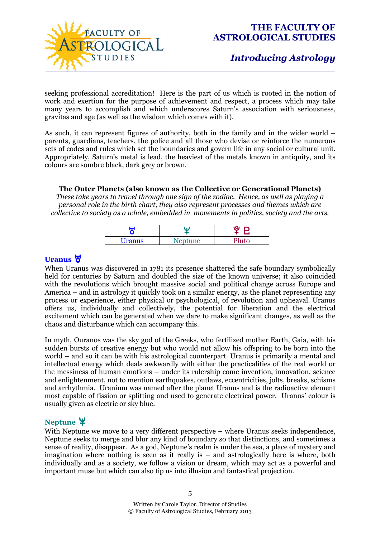

seeking professional accreditation! Here is the part of us which is rooted in the notion of work and exertion for the purpose of achievement and respect, a process which may take many years to accomplish and which underscores Saturn's association with seriousness, gravitas and age (as well as the wisdom which comes with it).

As such, it can represent figures of authority, both in the family and in the wider world – parents, guardians, teachers, the police and all those who devise or reinforce the numerous sets of codes and rules which set the boundaries and govern life in any social or cultural unit. Appropriately, Saturn's metal is lead, the heaviest of the metals known in antiquity, and its colours are sombre black, dark grey or brown.

### **The Outer Planets (also known as the Collective or Generational Planets)**

*These take years to travel through one sign of the zodiac. Hence, as well as playing a personal role in the birth chart, they also represent processes and themes which are collective to society as a whole, embedded in movements in politics, society and the arts.* 

| ш<br>y q      | W       | ιΟι   |  |
|---------------|---------|-------|--|
| <b>Uranus</b> | Neptune | Pluto |  |

### **Uranus** F

When Uranus was discovered in 1781 its presence shattered the safe boundary symbolically held for centuries by Saturn and doubled the size of the known universe; it also coincided with the revolutions which brought massive social and political change across Europe and America – and in astrology it quickly took on a similar energy, as the planet representing any process or experience, either physical or psychological, of revolution and upheaval. Uranus offers us, individually and collectively, the potential for liberation and the electrical excitement which can be generated when we dare to make significant changes, as well as the chaos and disturbance which can accompany this.

In myth, Ouranos was the sky god of the Greeks, who fertilized mother Earth, Gaia, with his sudden bursts of creative energy but who would not allow his offspring to be born into the world – and so it can be with his astrological counterpart. Uranus is primarily a mental and intellectual energy which deals awkwardly with either the practicalities of the real world or the messiness of human emotions – under its rulership come invention, innovation, science and enlightenment, not to mention earthquakes, outlaws, eccentricities, jolts, breaks, schisms and arrhythmia. Uranium was named after the planet Uranus and is the radioactive element most capable of fission or splitting and used to generate electrical power. Uranus' colour is usually given as electric or sky blue.

### **Neptune** ¥

With Neptune we move to a very different perspective – where Uranus seeks independence, Neptune seeks to merge and blur any kind of boundary so that distinctions, and sometimes a sense of reality, disappear. As a god, Neptune's realm is under the sea, a place of mystery and imagination where nothing is seen as it really is – and astrologically here is where, both individually and as a society, we follow a vision or dream, which may act as a powerful and important muse but which can also tip us into illusion and fantastical projection.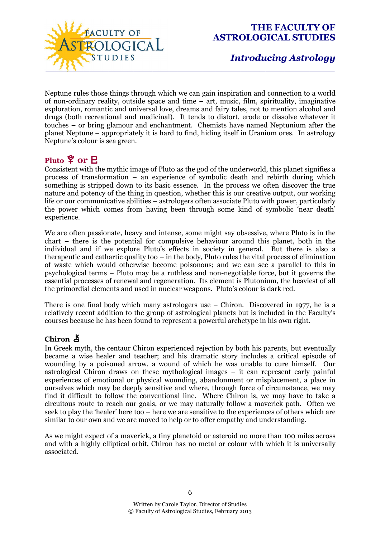

Neptune rules those things through which we can gain inspiration and connection to a world of non-ordinary reality, outside space and time – art, music, film, spirituality, imaginative exploration, romantic and universal love, dreams and fairy tales, not to mention alcohol and drugs (both recreational and medicinal). It tends to distort, erode or dissolve whatever it touches – or bring glamour and enchantment. Chemists have named Neptunium after the planet Neptune – appropriately it is hard to find, hiding itself in Uranium ores. In astrology Neptune's colour is sea green.

## **Pluto**  $\frac{6}{7}$  or **P**

Consistent with the mythic image of Pluto as the god of the underworld, this planet signifies a process of transformation – an experience of symbolic death and rebirth during which something is stripped down to its basic essence. In the process we often discover the true nature and potency of the thing in question, whether this is our creative output, our working life or our communicative abilities – astrologers often associate Pluto with power, particularly the power which comes from having been through some kind of symbolic 'near death' experience.

We are often passionate, heavy and intense, some might say obsessive, where Pluto is in the chart – there is the potential for compulsive behaviour around this planet, both in the individual and if we explore Pluto's effects in society in general. But there is also a therapeutic and cathartic quality too – in the body, Pluto rules the vital process of elimination of waste which would otherwise become poisonous; and we can see a parallel to this in psychological terms – Pluto may be a ruthless and non-negotiable force, but it governs the essential processes of renewal and regeneration. Its element is Plutonium, the heaviest of all the primordial elements and used in nuclear weapons. Pluto's colour is dark red.

There is one final body which many astrologers use – Chiron. Discovered in 1977, he is a relatively recent addition to the group of astrological planets but is included in the Faculty's courses because he has been found to represent a powerful archetype in his own right.

### **Chiron** &

In Greek myth, the centaur Chiron experienced rejection by both his parents, but eventually became a wise healer and teacher; and his dramatic story includes a critical episode of wounding by a poisoned arrow, a wound of which he was unable to cure himself. Our astrological Chiron draws on these mythological images – it can represent early painful experiences of emotional or physical wounding, abandonment or misplacement, a place in ourselves which may be deeply sensitive and where, through force of circumstance, we may find it difficult to follow the conventional line. Where Chiron is, we may have to take a circuitous route to reach our goals, or we may naturally follow a maverick path. Often we seek to play the 'healer' here too – here we are sensitive to the experiences of others which are similar to our own and we are moved to help or to offer empathy and understanding.

As we might expect of a maverick, a tiny planetoid or asteroid no more than 100 miles across and with a highly elliptical orbit, Chiron has no metal or colour with which it is universally associated.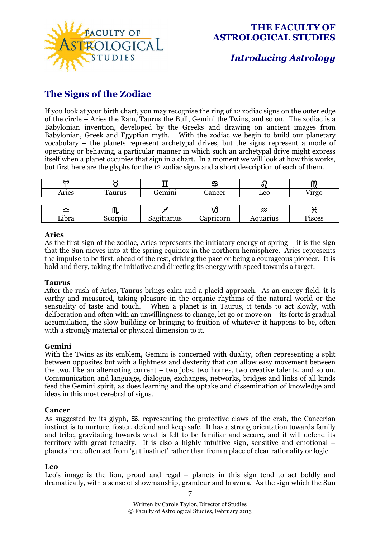

# **The Signs of the Zodiac**

If you look at your birth chart, you may recognise the ring of 12 zodiac signs on the outer edge of the circle – Aries the Ram, Taurus the Bull, Gemini the Twins, and so on. The zodiac is a Babylonian invention, developed by the Greeks and drawing on ancient images from Babylonian, Greek and Egyptian myth. With the zodiac we begin to build our planetary vocabulary – the planets represent archetypal drives, but the signs represent a mode of operating or behaving, a particular manner in which such an archetypal drive might express itself when a planet occupies that sign in a chart. In a moment we will look at how this works, but first here are the glyphs for the 12 zodiac signs and a short description of each of them.

| m     |         |             | ♋         |          |          |
|-------|---------|-------------|-----------|----------|----------|
| Aries | Taurus  | Gemini      | Cancer    | Leo      | $7$ irgo |
|       |         |             |           |          |          |
| ≏     | Ш.      |             |           | $\infty$ |          |
| Libra | Scorpio | Sagittarius | Capricorn | Aquarius | Pisces   |

### **Aries**

As the first sign of the zodiac, Aries represents the initiatory energy of spring – it is the sign that the Sun moves into at the spring equinox in the northern hemisphere. Aries represents the impulse to be first, ahead of the rest, driving the pace or being a courageous pioneer. It is bold and fiery, taking the initiative and directing its energy with speed towards a target.

### **Taurus**

After the rush of Aries, Taurus brings calm and a placid approach. As an energy field, it is earthy and measured, taking pleasure in the organic rhythms of the natural world or the sensuality of taste and touch. When a planet is in Taurus, it tends to act slowly, with deliberation and often with an unwillingness to change, let go or move on – its forte is gradual accumulation, the slow building or bringing to fruition of whatever it happens to be, often with a strongly material or physical dimension to it.

### **Gemini**

With the Twins as its emblem, Gemini is concerned with duality, often representing a split between opposites but with a lightness and dexterity that can allow easy movement between the two, like an alternating current – two jobs, two homes, two creative talents, and so on. Communication and language, dialogue, exchanges, networks, bridges and links of all kinds feed the Gemini spirit, as does learning and the uptake and dissemination of knowledge and ideas in this most cerebral of signs.

#### **Cancer**

As suggested by its glyph,  $\mathcal{S}$ , representing the protective claws of the crab, the Cancerian instinct is to nurture, foster, defend and keep safe. It has a strong orientation towards family and tribe, gravitating towards what is felt to be familiar and secure, and it will defend its territory with great tenacity. It is also a highly intuitive sign, sensitive and emotional – planets here often act from 'gut instinct' rather than from a place of clear rationality or logic.

#### **Leo**

Leo's image is the lion, proud and regal – planets in this sign tend to act boldly and dramatically, with a sense of showmanship, grandeur and bravura. As the sign which the Sun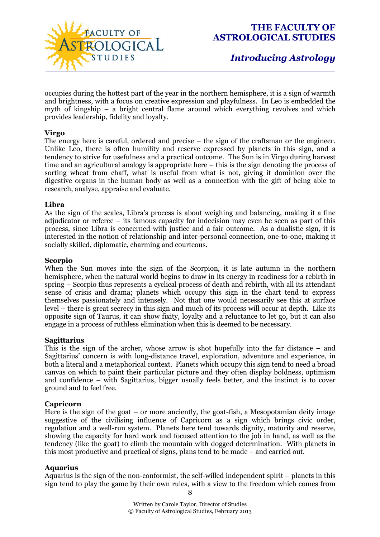

occupies during the hottest part of the year in the northern hemisphere, it is a sign of warmth and brightness, with a focus on creative expression and playfulness. In Leo is embedded the myth of kingship – a bright central flame around which everything revolves and which provides leadership, fidelity and loyalty.

#### **Virgo**

The energy here is careful, ordered and precise – the sign of the craftsman or the engineer. Unlike Leo, there is often humility and reserve expressed by planets in this sign, and a tendency to strive for usefulness and a practical outcome. The Sun is in Virgo during harvest time and an agricultural analogy is appropriate here – this is the sign denoting the process of sorting wheat from chaff, what is useful from what is not, giving it dominion over the digestive organs in the human body as well as a connection with the gift of being able to research, analyse, appraise and evaluate.

#### **Libra**

As the sign of the scales, Libra's process is about weighing and balancing, making it a fine adjudicator or referee – its famous capacity for indecision may even be seen as part of this process, since Libra is concerned with justice and a fair outcome. As a dualistic sign, it is interested in the notion of relationship and inter-personal connection, one-to-one, making it socially skilled, diplomatic, charming and courteous.

#### **Scorpio**

When the Sun moves into the sign of the Scorpion, it is late autumn in the northern hemisphere, when the natural world begins to draw in its energy in readiness for a rebirth in spring – Scorpio thus represents a cyclical process of death and rebirth, with all its attendant sense of crisis and drama; planets which occupy this sign in the chart tend to express themselves passionately and intensely. Not that one would necessarily see this at surface level – there is great secrecy in this sign and much of its process will occur at depth. Like its opposite sign of Taurus, it can show fixity, loyalty and a reluctance to let go, but it can also engage in a process of ruthless elimination when this is deemed to be necessary.

#### **Sagittarius**

This is the sign of the archer, whose arrow is shot hopefully into the far distance – and Sagittarius' concern is with long-distance travel, exploration, adventure and experience, in both a literal and a metaphorical context. Planets which occupy this sign tend to need a broad canvas on which to paint their particular picture and they often display boldness, optimism and confidence – with Sagittarius, bigger usually feels better, and the instinct is to cover ground and to feel free.

#### **Capricorn**

Here is the sign of the goat – or more anciently, the goat-fish, a Mesopotamian deity image suggestive of the civilising influence of Capricorn as a sign which brings civic order, regulation and a well-run system. Planets here tend towards dignity, maturity and reserve, showing the capacity for hard work and focused attention to the job in hand, as well as the tendency (like the goat) to climb the mountain with dogged determination. With planets in this most productive and practical of signs, plans tend to be made – and carried out.

### **Aquarius**

Aquarius is the sign of the non-conformist, the self-willed independent spirit – planets in this sign tend to play the game by their own rules, with a view to the freedom which comes from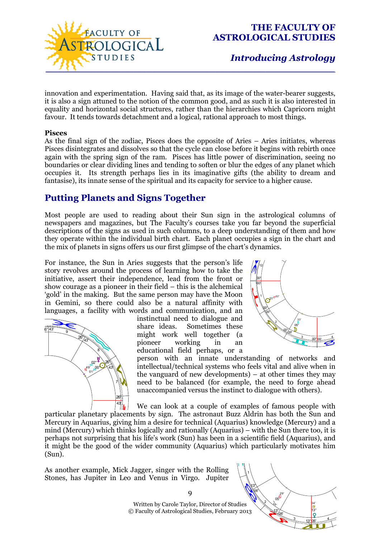

innovation and experimentation. Having said that, as its image of the water-bearer suggests, it is also a sign attuned to the notion of the common good, and as such it is also interested in equality and horizontal social structures, rather than the hierarchies which Capricorn might favour. It tends towards detachment and a logical, rational approach to most things.

#### **Pisces**

As the final sign of the zodiac, Pisces does the opposite of Aries – Aries initiates, whereas Pisces disintegrates and dissolves so that the cycle can close before it begins with rebirth once again with the spring sign of the ram. Pisces has little power of discrimination, seeing no boundaries or clear dividing lines and tending to soften or blur the edges of any planet which occupies it. Its strength perhaps lies in its imaginative gifts (the ability to dream and fantasise), its innate sense of the spiritual and its capacity for service to a higher cause.

## **Putting Planets and Signs Together**

Most people are used to reading about their Sun sign in the astrological columns of newspapers and magazines, but The Faculty's courses take you far beyond the superficial descriptions of the signs as used in such columns, to a deep understanding of them and how they operate within the individual birth chart. Each planet occupies a sign in the chart and the mix of planets in signs offers us our first glimpse of the chart's dynamics.

For instance, the Sun in Aries suggests that the person's life story revolves around the process of learning how to take the initiative, assert their independence, lead from the front or show courage as a pioneer in their field – this is the alchemical 'gold' in the making. But the same person may have the Moon in Gemini, so there could also be a natural affinity with languages, a facility with words and communication, and an



instinctual need to dialogue and share ideas. Sometimes these might work well together (a pioneer working in an educational field perhaps, or a



person with an innate understanding of networks and intellectual/technical systems who feels vital and alive when in the vanguard of new developments) – at other times they may need to be balanced (for example, the need to forge ahead unaccompanied versus the instinct to dialogue with others).

We can look at a couple of examples of famous people with

particular planetary placements by sign. The astronaut Buzz Aldrin has both the Sun and Mercury in Aquarius, giving him a desire for technical (Aquarius) knowledge (Mercury) and a mind (Mercury) which thinks logically and rationally (Aquarius) – with the Sun there too, it is perhaps not surprising that his life's work (Sun) has been in a scientific field (Aquarius), and it might be the good of the wider community (Aquarius) which particularly motivates him (Sun). ∛<br>cem.<br>ving '<br>וו

As another example, Mick Jagger, singer with the Rolling Stones, has Jupiter in Leo and Venus in Virgo. Jupiter



Written by Carole Taylor, Director of Studies © Faculty of Astrological Studies, February 2013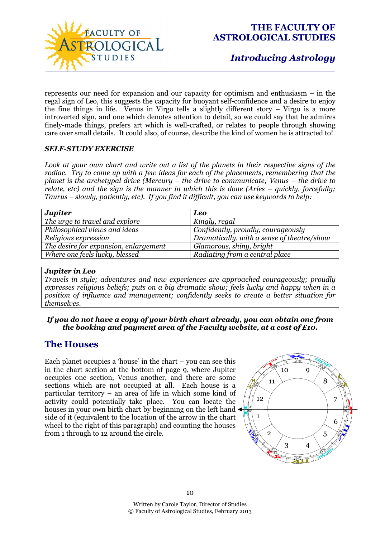

represents our need for expansion and our capacity for optimism and enthusiasm – in the regal sign of Leo, this suggests the capacity for buoyant self-confidence and a desire to enjoy the fine things in life. Venus in Virgo tells a slightly different story – Virgo is a more introverted sign, and one which denotes attention to detail, so we could say that he admires finely-made things, prefers art which is well-crafted, or relates to people through showing care over small details. It could also, of course, describe the kind of women he is attracted to!

### *SELF-STUDY EXERCISE*

*Look at your own chart and write out a list of the planets in their respective signs of the*  zodiac. Try to come up with a few ideas for each of the placements, remembering that the *planet is the archetypal drive (Mercury – the drive to communicate; Venus – the drive to relate, etc) and the sign is the manner in which this is done (Aries – quickly, forcefully; Taurus – slowly, patiently, etc). If you find it difficult, you can use keywords to help:* 

| <b>Jupiter</b>                        | <b>Leo</b>                                 |
|---------------------------------------|--------------------------------------------|
| The urge to travel and explore        | Kingly, regal                              |
| Philosophical views and ideas         | Confidently, proudly, courageously         |
| Religious expression                  | Dramatically, with a sense of theatre/show |
| The desire for expansion, enlargement | Glamorous, shiny, bright                   |
| Where one feels lucky, blessed        | Radiating from a central place             |

### *Jupiter in Leo*

*Travels in style; adventures and new experiences are approached courageously; proudly expresses religious beliefs; puts on a big dramatic show; feels lucky and happy when in a position of influence and management; confidently seeks to create a better situation for themselves.* 

### *If you do not have a copy of your birth chart already, you can obtain one from the booking and payment area of the Faculty website, at a cost of £10.*

### **The Houses**

Each planet occupies a 'house' in the chart – you can see this in the chart section at the bottom of page 9, where Jupiter occupies one section, Venus another, and there are some sections which are not occupied at all. Each house is a particular territory – an area of life in which some kind of activity could potentially take place. You can locate the houses in your own birth chart by beginning on the left hand side of it (equivalent to the location of the arrow in the chart wheel to the right of this paragraph) and counting the houses from 1 through to 12 around the circle.

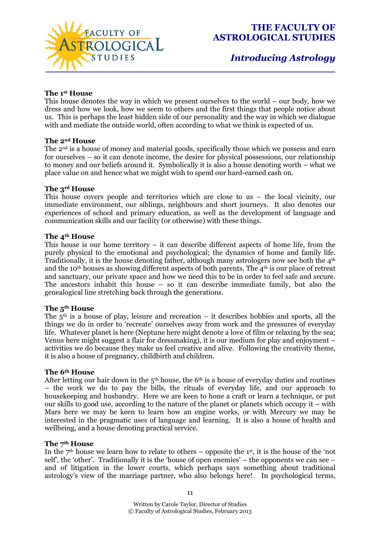

# *Introducing Astrology*

### **The 1st House**

This house denotes the way in which we present ourselves to the world – our body, how we dress and how we look, how we seem to others and the first things that people notice about us. This is perhaps the least hidden side of our personality and the way in which we dialogue with and mediate the outside world, often according to what we think is expected of us.

#### **The 2nd House**

The 2nd is a house of money and material goods, specifically those which we possess and earn for ourselves – so it can denote income, the desire for physical possessions, our relationship to money and our beliefs around it. Symbolically it is also a house denoting worth – what we place value on and hence what we might wish to spend our hard-earned cash on.

#### **The 3rd House**

This house covers people and territories which are close to us – the local vicinity, our immediate environment, our siblings, neighbours and short journeys. It also denotes our experiences of school and primary education, as well as the development of language and communication skills and our facility (or otherwise) with these things.

#### **The 4th House**

This house is our home territory – it can describe different aspects of home life, from the purely physical to the emotional and psychological; the dynamics of home and family life. Traditionally, it is the house denoting father, although many astrologers now see both the 4th and the 10th houses as showing different aspects of both parents. The 4th is our place of retreat and sanctuary, our private space and how we need this to be in order to feel safe and secure. The ancestors inhabit this house – so it can describe immediate family, but also the genealogical line stretching back through the generations.

### **The 5th House**

The  $5<sup>th</sup>$  is a house of play, leisure and recreation – it describes hobbies and sports, all the things we do in order to 'recreate' ourselves away from work and the pressures of everyday life. Whatever planet is here (Neptune here might denote a love of film or relaxing by the sea; Venus here might suggest a flair for dressmaking), it is our medium for play and enjoyment – activities we do because they make us feel creative and alive. Following the creativity theme, it is also a house of pregnancy, childbirth and children.

#### **The 6th House**

After letting our hair down in the  $5<sup>th</sup>$  house, the  $6<sup>th</sup>$  is a house of everyday duties and routines – the work we do to pay the bills, the rituals of everyday life, and our approach to housekeeping and husbandry. Here we are keen to hone a craft or learn a technique, or put our skills to good use, according to the nature of the planet or planets which occupy it – with Mars here we may be keen to learn how an engine works, or with Mercury we may be interested in the pragmatic uses of language and learning. It is also a house of health and wellbeing, and a house denoting practical service.

#### **The 7th House**

In the  $7<sup>th</sup>$  house we learn how to relate to others – opposite the 1<sup>st</sup>, it is the house of the 'not self', the 'other'. Traditionally it is the 'house of open enemies' – the opponents we can see – and of litigation in the lower courts, which perhaps says something about traditional astrology's view of the marriage partner, who also belongs here! In psychological terms,

11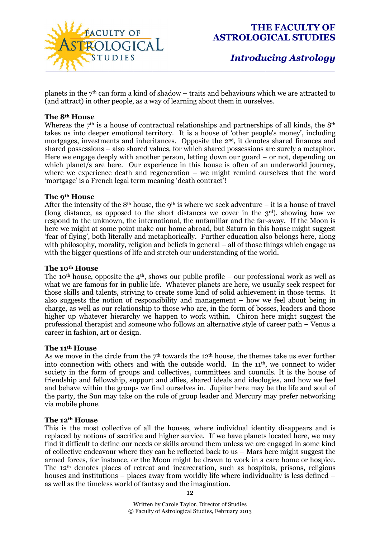

planets in the  $7<sup>th</sup>$  can form a kind of shadow – traits and behaviours which we are attracted to (and attract) in other people, as a way of learning about them in ourselves.

#### **The 8th House**

Whereas the  $7<sup>th</sup>$  is a house of contractual relationships and partnerships of all kinds, the  $8<sup>th</sup>$ takes us into deeper emotional territory. It is a house of 'other people's money', including mortgages, investments and inheritances. Opposite the 2<sup>nd</sup>, it denotes shared finances and shared possessions – also shared values, for which shared possessions are surely a metaphor. Here we engage deeply with another person, letting down our guard – or not, depending on which planet/s are here. Our experience in this house is often of an underworld journey, where we experience death and regeneration – we might remind ourselves that the word 'mortgage' is a French legal term meaning 'death contract'!

#### **The 9th House**

After the intensity of the 8<sup>th</sup> house, the 9<sup>th</sup> is where we seek adventure – it is a house of travel (long distance, as opposed to the short distances we cover in the  $3<sup>rd</sup>$ ), showing how we respond to the unknown, the international, the unfamiliar and the far-away. If the Moon is here we might at some point make our home abroad, but Saturn in this house might suggest 'fear of flying', both literally and metaphorically. Further education also belongs here, along with philosophy, morality, religion and beliefs in general – all of those things which engage us with the bigger questions of life and stretch our understanding of the world.

#### **The 10th House**

The 10<sup>th</sup> house, opposite the 4<sup>th</sup>, shows our public profile – our professional work as well as what we are famous for in public life. Whatever planets are here, we usually seek respect for those skills and talents, striving to create some kind of solid achievement in those terms. It also suggests the notion of responsibility and management – how we feel about being in charge, as well as our relationship to those who are, in the form of bosses, leaders and those higher up whatever hierarchy we happen to work within. Chiron here might suggest the professional therapist and someone who follows an alternative style of career path – Venus a career in fashion, art or design.

#### **The 11th House**

As we move in the circle from the  $7<sup>th</sup>$  towards the 12<sup>th</sup> house, the themes take us ever further into connection with others and with the outside world. In the 11<sup>th</sup>, we connect to wider society in the form of groups and collectives, committees and councils. It is the house of friendship and fellowship, support and allies, shared ideals and ideologies, and how we feel and behave within the groups we find ourselves in. Jupiter here may be the life and soul of the party, the Sun may take on the role of group leader and Mercury may prefer networking via mobile phone.

### **The 12th House**

This is the most collective of all the houses, where individual identity disappears and is replaced by notions of sacrifice and higher service. If we have planets located here, we may find it difficult to define our needs or skills around them unless we are engaged in some kind of collective endeavour where they can be reflected back to us – Mars here might suggest the armed forces, for instance, or the Moon might be drawn to work in a care home or hospice. The 12th denotes places of retreat and incarceration, such as hospitals, prisons, religious houses and institutions – places away from worldly life where individuality is less defined – as well as the timeless world of fantasy and the imagination.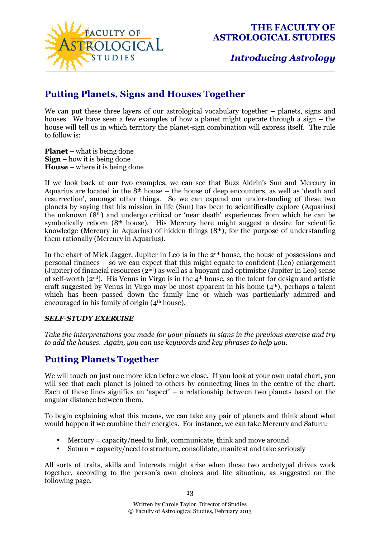

*Introducing Astrology*

# **Putting Planets, Signs and Houses Together**

We can put these three layers of our astrological vocabulary together – planets, signs and houses. We have seen a few examples of how a planet might operate through a sign – the house will tell us in which territory the planet-sign combination will express itself. The rule to follow is:

**Planet** – what is being done **Sign** – how it is being done **House** – where it is being done

If we look back at our two examples, we can see that Buzz Aldrin's Sun and Mercury in Aquarius are located in the  $8<sup>th</sup>$  house – the house of deep encounters, as well as 'death and resurrection', amongst other things. So we can expand our understanding of these two planets by saying that his mission in life (Sun) has been to scientifically explore (Aquarius) the unknown (8th) and undergo critical or 'near death' experiences from which he can be symbolically reborn (8<sup>th</sup> house). His Mercury here might suggest a desire for scientific knowledge (Mercury in Aquarius) of hidden things  $(8<sup>th</sup>)$ , for the purpose of understanding them rationally (Mercury in Aquarius).

In the chart of Mick Jagger, Jupiter in Leo is in the 2nd house, the house of possessions and personal finances – so we can expect that this might equate to confident (Leo) enlargement (Jupiter) of financial resources  $(2<sup>nd</sup>)$  as well as a buoyant and optimistic (Jupiter in Leo) sense of self-worth ( $2<sup>nd</sup>$ ). His Venus in Virgo is in the  $4<sup>th</sup>$  house, so the talent for design and artistic craft suggested by Venus in Virgo may be most apparent in his home  $(4<sup>th</sup>)$ , perhaps a talent which has been passed down the family line or which was particularly admired and encouraged in his family of origin  $(4<sup>th</sup> house)$ .

### *SELF-STUDY EXERCISE*

*Take the interpretations you made for your planets in signs in the previous exercise and try to add the houses. Again, you can use keywords and key phrases to help you.* 

## **Putting Planets Together**

We will touch on just one more idea before we close. If you look at your own natal chart, you will see that each planet is joined to others by connecting lines in the centre of the chart. Each of these lines signifies an 'aspect' – a relationship between two planets based on the angular distance between them.

To begin explaining what this means, we can take any pair of planets and think about what would happen if we combine their energies. For instance, we can take Mercury and Saturn:

- Mercury = capacity/need to link, communicate, think and move around
- Saturn = capacity/need to structure, consolidate, manifest and take seriously

All sorts of traits, skills and interests might arise when these two archetypal drives work together, according to the person's own choices and life situation, as suggested on the following page.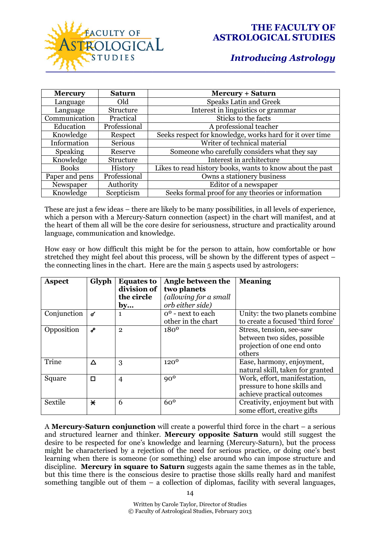

| <b>Mercury</b>  | <b>Saturn</b> | <b>Mercury + Saturn</b>                                   |
|-----------------|---------------|-----------------------------------------------------------|
| Language        | Old           | <b>Speaks Latin and Greek</b>                             |
| Language        | Structure     | Interest in linguistics or grammar                        |
| Communication   | Practical     | Sticks to the facts                                       |
| Education       | Professional  | A professional teacher                                    |
| Knowledge       | Respect       | Seeks respect for knowledge, works hard for it over time  |
| Information     | Serious       | Writer of technical material                              |
| <b>Speaking</b> | Reserve       | Someone who carefully considers what they say             |
| Knowledge       | Structure     | Interest in architecture                                  |
| <b>Books</b>    | History       | Likes to read history books, wants to know about the past |
| Paper and pens  | Professional  | Owns a stationery business                                |
| Newspaper       | Authority     | Editor of a newspaper                                     |
| Knowledge       | Scepticism    | Seeks formal proof for any theories or information        |

These are just a few ideas – there are likely to be many possibilities, in all levels of experience, which a person with a Mercury-Saturn connection (aspect) in the chart will manifest, and at the heart of them all will be the core desire for seriousness, structure and practicality around language, communication and knowledge.

How easy or how difficult this might be for the person to attain, how comfortable or how stretched they might feel about this process, will be shown by the different types of aspect – the connecting lines in the chart. Here are the main 5 aspects used by astrologers:

| <b>Aspect</b> | Glyph   | <b>Equates to</b><br>division of | Angle between the<br>two planets | <b>Meaning</b>                    |
|---------------|---------|----------------------------------|----------------------------------|-----------------------------------|
|               |         | the circle                       | (allowing for a small            |                                   |
|               |         | by                               | orb either side)                 |                                   |
| Conjunction   | ๙       | 1                                | o <sup>o</sup> - next to each    | Unity: the two planets combine    |
|               |         |                                  | other in the chart               | to create a focused 'third force' |
| Opposition    | م       | $\overline{2}$                   | $180^{\circ}$                    | Stress, tension, see-saw          |
|               |         |                                  |                                  | between two sides, possible       |
|               |         |                                  |                                  | projection of one end onto        |
|               |         |                                  |                                  | others                            |
| Trine         | Δ       | 3                                | 120 <sup>0</sup>                 | Ease, harmony, enjoyment,         |
|               |         |                                  |                                  | natural skill, taken for granted  |
| Square        | $\Box$  | $\overline{4}$                   | $90^0$                           | Work, effort, manifestation,      |
|               |         |                                  |                                  | pressure to hone skills and       |
|               |         |                                  |                                  | achieve practical outcomes        |
| Sextile       | $\star$ | 6                                | 60 <sup>0</sup>                  | Creativity, enjoyment but with    |
|               |         |                                  |                                  | some effort, creative gifts       |

A **Mercury-Saturn conjunction** will create a powerful third force in the chart – a serious and structured learner and thinker. **Mercury opposite Saturn** would still suggest the desire to be respected for one's knowledge and learning (Mercury-Saturn), but the process might be characterised by a rejection of the need for serious practice, or doing one's best learning when there is someone (or something) else around who can impose structure and discipline. **Mercury in square to Saturn** suggests again the same themes as in the table, but this time there is the conscious desire to practise those skills really hard and manifest something tangible out of them  $-$  a collection of diplomas, facility with several languages,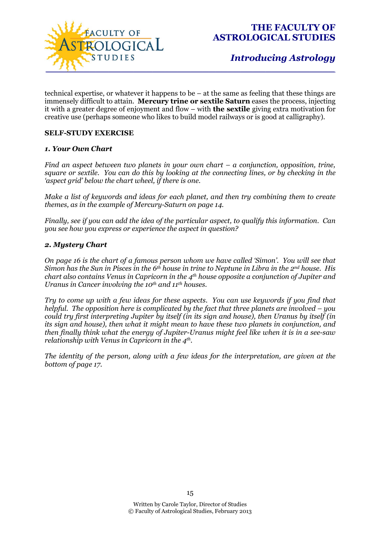

technical expertise, or whatever it happens to be – at the same as feeling that these things are immensely difficult to attain. **Mercury trine or sextile Saturn** eases the process, injecting it with a greater degree of enjoyment and flow – with **the sextile** giving extra motivation for creative use (perhaps someone who likes to build model railways or is good at calligraphy).

### **SELF-STUDY EXERCISE**

### *1. Your Own Chart*

*Find an aspect between two planets in your own chart – a conjunction, opposition, trine, square or sextile. You can do this by looking at the connecting lines, or by checking in the 'aspect grid' below the chart wheel, if there is one.* 

*Make a list of keywords and ideas for each planet, and then try combining them to create themes, as in the example of Mercury-Saturn on page 14.* 

*Finally, see if you can add the idea of the particular aspect, to qualify this information. Can you see how you express or experience the aspect in question?* 

#### *2. Mystery Chart*

*On page 16 is the chart of a famous person whom we have called 'Simon'. You will see that Simon has the Sun in Pisces in the 6th house in trine to Neptune in Libra in the 2nd house. His chart also contains Venus in Capricorn in the 4th house opposite a conjunction of Jupiter and Uranus in Cancer involving the 10th and 11th houses.* 

*Try to come up with a few ideas for these aspects. You can use keywords if you find that helpful. The opposition here is complicated by the fact that three planets are involved – you could try first interpreting Jupiter by itself (in its sign and house), then Uranus by itself (in its sign and house), then what it might mean to have these two planets in conjunction, and then finally think what the energy of Jupiter-Uranus might feel like when it is in a see-saw relationship with Venus in Capricorn in the 4th .* 

*The identity of the person, along with a few ideas for the interpretation, are given at the bottom of page 17.*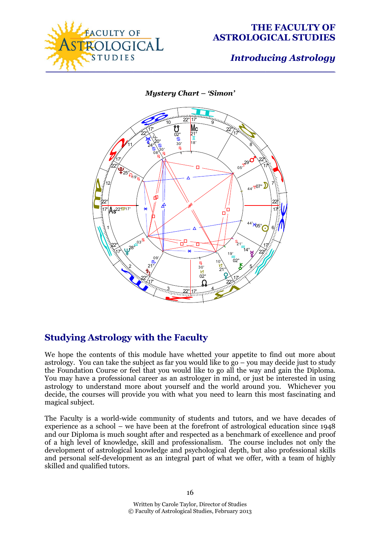

*Mystery Chart – 'Simon'* 



# **Studying Astrology with the Faculty**

We hope the contents of this module have whetted your appetite to find out more about astrology. You can take the subject as far you would like to  $g_0 - \gamma$  you may decide just to study the Foundation Course or feel that you would like to go all the way and gain the Diploma. You may have a professional career as an astrologer in mind, or just be interested in using astrology to understand more about yourself and the world around you. Whichever you decide, the courses will provide you with what you need to learn this most fascinating and magical subject.

The Faculty is a world-wide community of students and tutors, and we have decades of experience as a school – we have been at the forefront of astrological education since 1948 and our Diploma is much sought after and respected as a benchmark of excellence and proof of a high level of knowledge, skill and professionalism. The course includes not only the development of astrological knowledge and psychological depth, but also professional skills and personal self-development as an integral part of what we offer, with a team of highly skilled and qualified tutors.